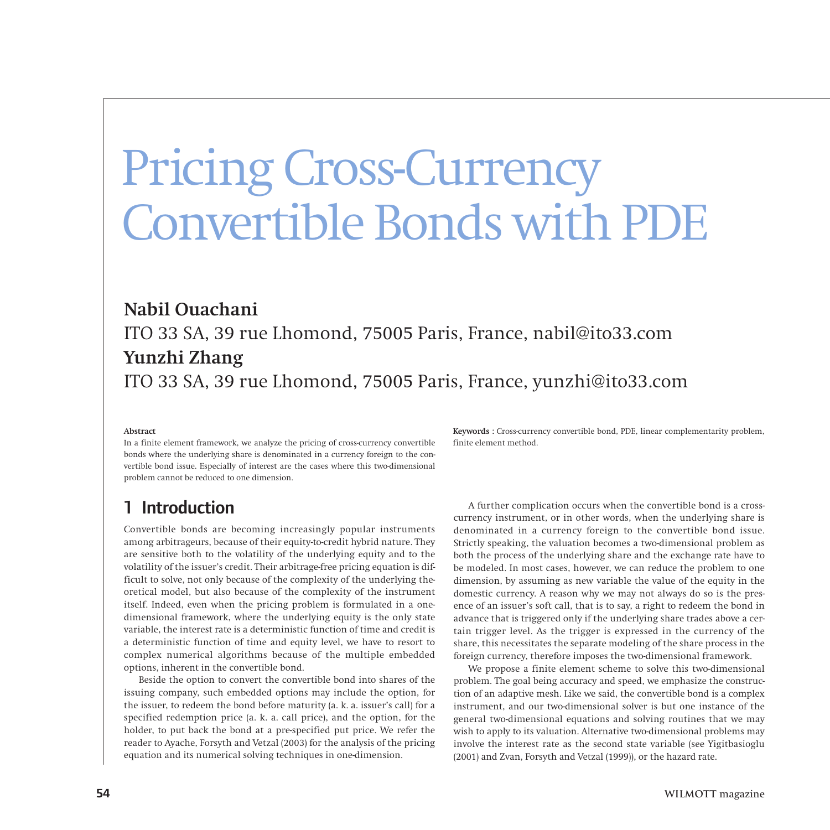# Pricing Cross-Currency Convertible Bonds with PDE

## **Nabil Ouachani**

# ITO 33 SA, 39 rue Lhomond, 75005 Paris, France, nabil@ito33.com **Yunzhi Zhang** ITO 33 SA, 39 rue Lhomond, 75005 Paris, France, yunzhi@ito33.com

#### **Abstract**

In a finite element framework, we analyze the pricing of cross-currency convertible bonds where the underlying share is denominated in a currency foreign to the convertible bond issue. Especially of interest are the cases where this two-dimensional problem cannot be reduced to one dimension.

# 1 Introduction

Convertible bonds are becoming increasingly popular instruments among arbitrageurs, because of their equity-to-credit hybrid nature. They are sensitive both to the volatility of the underlying equity and to the volatility of the issuer's credit. Their arbitrage-free pricing equation is difficult to solve, not only because of the complexity of the underlying theoretical model, but also because of the complexity of the instrument itself. Indeed, even when the pricing problem is formulated in a onedimensional framework, where the underlying equity is the only state variable, the interest rate is a deterministic function of time and credit is a deterministic function of time and equity level, we have to resort to complex numerical algorithms because of the multiple embedded options, inherent in the convertible bond.

Beside the option to convert the convertible bond into shares of the issuing company, such embedded options may include the option, for the issuer, to redeem the bond before maturity (a. k. a. issuer's call) for a specified redemption price (a. k. a. call price), and the option, for the holder, to put back the bond at a pre-specified put price. We refer the reader to Ayache, Forsyth and Vetzal (2003) for the analysis of the pricing equation and its numerical solving techniques in one-dimension.

**Keywords :** Cross-currency convertible bond, PDE, linear complementarity problem, finite element method.

A further complication occurs when the convertible bond is a crosscurrency instrument, or in other words, when the underlying share is denominated in a currency foreign to the convertible bond issue. Strictly speaking, the valuation becomes a two-dimensional problem as both the process of the underlying share and the exchange rate have to be modeled. In most cases, however, we can reduce the problem to one dimension, by assuming as new variable the value of the equity in the domestic currency. A reason why we may not always do so is the presence of an issuer's soft call, that is to say, a right to redeem the bond in advance that is triggered only if the underlying share trades above a certain trigger level. As the trigger is expressed in the currency of the share, this necessitates the separate modeling of the share process in the foreign currency, therefore imposes the two-dimensional framework.

We propose a finite element scheme to solve this two-dimensional problem. The goal being accuracy and speed, we emphasize the construction of an adaptive mesh. Like we said, the convertible bond is a complex instrument, and our two-dimensional solver is but one instance of the general two-dimensional equations and solving routines that we may wish to apply to its valuation. Alternative two-dimensional problems may involve the interest rate as the second state variable (see Yigitbasioglu (2001) and Zvan, Forsyth and Vetzal (1999)), or the hazard rate.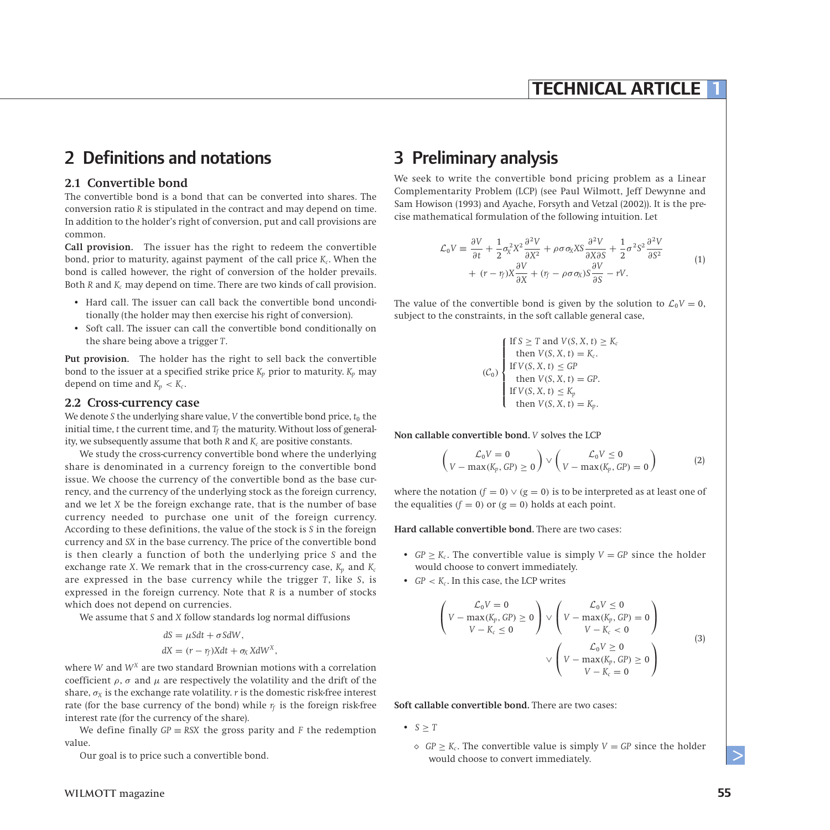# 2 Definitions and notations

#### **2.1 Convertible bond**

The convertible bond is a bond that can be converted into shares. The conversion ratio *R* is stipulated in the contract and may depend on time. In addition to the holder's right of conversion, put and call provisions are common.

**Call provision.** The issuer has the right to redeem the convertible bond, prior to maturity, against payment of the call price *K<sub>c</sub>*. When the bond is called however, the right of conversion of the holder prevails. Both *R* and *K<sub>c</sub>* may depend on time. There are two kinds of call provision.

- Hard call. The issuer can call back the convertible bond unconditionally (the holder may then exercise his right of conversion).
- Soft call. The issuer can call the convertible bond conditionally on the share being above a trigger *T*.

**Put provision.** The holder has the right to sell back the convertible bond to the issuer at a specified strike price  $K_p$  prior to maturity.  $K_p$  may depend on time and  $K_p < K_c$ .

#### **2.2 Cross-currency case**

We denote *S* the underlying share value, *V* the convertible bond price,  $t_0$  the initial time,  $t$  the current time, and  $T_f$  the maturity. Without loss of generality, we subsequently assume that both  $R$  and  $K_c$  are positive constants.

We study the cross-currency convertible bond where the underlying share is denominated in a currency foreign to the convertible bond issue. We choose the currency of the convertible bond as the base currency, and the currency of the underlying stock as the foreign currency, and we let *X* be the foreign exchange rate, that is the number of base currency needed to purchase one unit of the foreign currency. According to these definitions, the value of the stock is *S* in the foreign currency and *SX* in the base currency. The price of the convertible bond is then clearly a function of both the underlying price *S* and the exchange rate *X*. We remark that in the cross-currency case,  $K_p$  and  $K_c$ are expressed in the base currency while the trigger *T*, like *S*, is expressed in the foreign currency. Note that *R* is a number of stocks which does not depend on currencies.

We assume that *S* and *X* follow standards log normal diffusions

$$
dS = \mu S dt + \sigma S dW,
$$
  

$$
dX = (r - r_f)X dt + \sigma_X X dW^X,
$$

where *W* and *W<sup>X</sup>* are two standard Brownian motions with a correlation coefficient  $\rho$ ,  $\sigma$  and  $\mu$  are respectively the volatility and the drift of the share,  $\sigma_X$  is the exchange rate volatility, r is the domestic risk-free interest rate (for the base currency of the bond) while  $r_f$  is the foreign risk-free interest rate (for the currency of the share).

We define finally  $GP \equiv RSX$  the gross parity and *F* the redemption value.

Our goal is to price such a convertible bond.

# 3 Preliminary analysis

We seek to write the convertible bond pricing problem as a Linear Complementarity Problem (LCP) (see Paul Wilmott, Jeff Dewynne and Sam Howison (1993) and Ayache, Forsyth and Vetzal (2002)). It is the precise mathematical formulation of the following intuition. Let

$$
\mathcal{L}_0 V = \frac{\partial V}{\partial t} + \frac{1}{2} \sigma_X^2 X^2 \frac{\partial^2 V}{\partial X^2} + \rho \sigma \sigma_X X S \frac{\partial^2 V}{\partial X \partial S} + \frac{1}{2} \sigma^2 S^2 \frac{\partial^2 V}{\partial S^2} + (r - r_f) X \frac{\partial V}{\partial X} + (r_f - \rho \sigma \sigma_X) S \frac{\partial V}{\partial S} - rV.
$$
\n(1)

The value of the convertible bond is given by the solution to  $\mathcal{L}_0 V = 0$ , subject to the constraints, in the soft callable general case,

$$
(C_0)
$$
\n
$$
\left\{\n\begin{array}{l}\n\text{If } S \geq T \text{ and } V(S, X, t) \geq K_c \\
\text{then } V(S, X, t) = K_c.\n\end{array}\n\right.
$$
\n
$$
(C_0)
$$
\n
$$
\left\{\n\begin{array}{l}\n\text{If } V(S, X, t) \leq GP \\
\text{then } V(S, X, t) = GP.\n\end{array}\n\right.
$$
\n
$$
\text{If } V(S, X, t) \leq K_p \\
\text{then } V(S, X, t) = K_p.
$$

**Non callable convertible bond.** *V* solves the LCP

$$
\begin{pmatrix}\n\mathcal{L}_0 V = 0 \\
V - \max(K_p, GP) \ge 0\n\end{pmatrix} \vee \begin{pmatrix}\n\mathcal{L}_0 V \le 0 \\
V - \max(K_p, GP) = 0\n\end{pmatrix}
$$
\n(2)

where the notation  $(f = 0) \vee (g = 0)$  is to be interpreted as at least one of the equalities  $(f = 0)$  or  $(g = 0)$  holds at each point.

**Hard callable convertible bond.** There are two cases:

- $GP \geq K_c$ . The convertible value is simply  $V = GP$  since the holder would choose to convert immediately.
- *GP < Kc*. In this case, the LCP writes

$$
\begin{pmatrix}\n\mathcal{L}_0 V = 0 & \mathcal{L}_0 V \le 0 \\
V - \max(K_p, GP) \ge 0 & V - \max(K_p, GP) = 0 \\
V - K_c \le 0 & V - K_c < 0\n\end{pmatrix}\n\vee\n\begin{pmatrix}\n\mathcal{L}_0 V \ge 0 \\
V - K_c < 0 \\
V - \max(K_p, GP) \ge 0 \\
V - K_c = 0\n\end{pmatrix}
$$
\n(3)

**Soft callable convertible bond.** There are two cases:

•  $S > T$ 

*◆ GP*  $\geq$  *K<sub>c</sub>*. The convertible value is simply *V* = *GP* since the holder would choose to convert immediately.

 $\geq$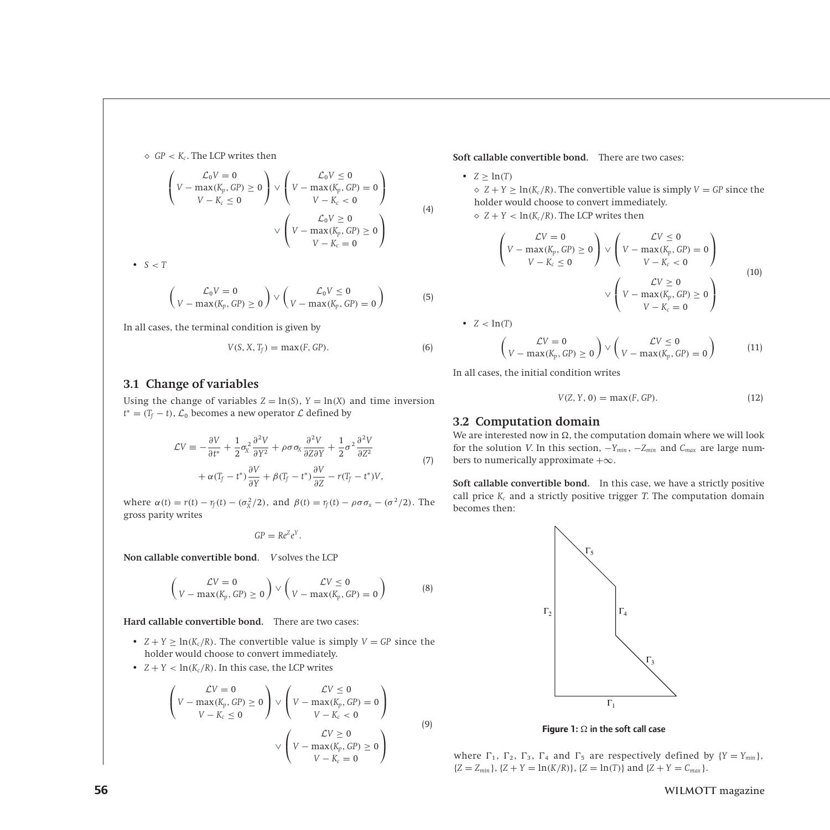$\Diamond$  *GP* < *K<sub>c</sub>*. The LCP writes then

$$
\begin{pmatrix}\n\mathcal{L}_0 V = 0 \\
V - \max(K_p, GP) \ge 0\n\end{pmatrix} \vee \begin{pmatrix}\n\mathcal{L}_0 V \le 0 \\
V - \max(K_p, GP) = 0\n\end{pmatrix}
$$
\n
$$
\vee \begin{pmatrix}\n\mathcal{L}_0 V \ge 0 \\
V - K_c < 0\n\end{pmatrix}
$$
\n
$$
\vee \begin{pmatrix}\n\mathcal{L}_0 V \ge 0 \\
V - \max(K_p, GP) \ge 0 \\
V - K_c = 0\n\end{pmatrix}
$$
\n
$$
\bullet \quad S < T
$$
\n(4)

$$
\left(\begin{matrix}\mathcal{L}_0 V = 0 \\ V - \max(K_p, GP) \ge 0\end{matrix}\right) \vee \left(\begin{matrix}\mathcal{L}_0 V \le 0 \\ V - \max(K_p, GP) = 0\end{matrix}\right)
$$

In all cases, the terminal condition is given by

$$
V(S, X, T_f) = \max(F, GP). \tag{6}
$$

#### **3.1 Change of variables**

Using the change of variables  $Z = \ln(S)$ ,  $Y = \ln(X)$  and time inversion  $t^* = (T_f - t)$ ,  $\mathcal{L}_0$  becomes a new operator  $\mathcal{L}$  defined by

$$
\mathcal{L}V = -\frac{\partial V}{\partial t^*} + \frac{1}{2}\sigma_X^2 \frac{\partial^2 V}{\partial Y^2} + \rho \sigma \sigma_X \frac{\partial^2 V}{\partial Z \partial Y} + \frac{1}{2}\sigma^2 \frac{\partial^2 V}{\partial Z^2} \n+ \alpha (T_f - t^*) \frac{\partial V}{\partial Y} + \beta (T_f - t^*) \frac{\partial V}{\partial Z} - r (T_f - t^*) V,
$$
\n(7)

where  $\alpha(t) = r(t) - r_f(t) - (\sigma_X^2/2)$ , and  $\beta(t) = r_f(t) - \rho \sigma \sigma_X - (\sigma^2/2)$ . The gross parity writes

 $GP = Re^Z e^Y$ .

**Non callable convertible bond.** *V* solves the LCP

$$
\begin{pmatrix}\n\mathcal{L}V = 0 \\
V - \max(K_p, GP) \ge 0\n\end{pmatrix} \vee \begin{pmatrix}\n\mathcal{L}V \le 0 \\
V - \max(K_p, GP) = 0\n\end{pmatrix}
$$
\n(8)

**Hard callable convertible bond.** There are two cases:

- $Z + Y \geq \ln(K_c/R)$ . The convertible value is simply  $V = GP$  since the holder would choose to convert immediately.
- $Z + Y < \ln(K_c/R)$ . In this case, the LCP writes

$$
\begin{pmatrix}\n\mathcal{L}V = 0 & \mathcal{L}V \le 0 \\
V - \max(K_p, GP) \ge 0 & V - \max(K_p, GP) = 0 \\
V - K_c \le 0 & V - K_c < 0\n\end{pmatrix}
$$
\n
$$
\vee \begin{pmatrix}\n\mathcal{L}V \ge 0 \\
V - \max(K_p, GP) \ge 0 \\
V - K_c = 0\n\end{pmatrix}
$$

**Soft callable convertible bond.** There are two cases:

#### •  $Z > ln(T)$  $\alpha$  *Z* + *Y*  $\geq$  ln(*K<sub>c</sub>*/*R*). The convertible value is simply *V* = *GP* since the holder would choose to convert immediately.

 $\Phi$  *Z* + *Y* < ln(*K<sub>c</sub>*/*R*). The LCP writes then

$$
\begin{pmatrix}\n\mathcal{L}V = 0 \\
V - \max(K_p, GP) \ge 0\n\end{pmatrix} \vee \begin{pmatrix}\n\mathcal{L}V \le 0 \\
V - \max(K_p, GP) = 0\n\end{pmatrix}
$$
\n
$$
\vee \begin{pmatrix}\n\mathcal{L}V \ge 0 \\
V - K_c < 0\n\end{pmatrix}
$$
\n
$$
\vee \begin{pmatrix}\n\mathcal{L}V \ge 0 \\
V - \max(K_p, GP) \ge 0 \\
V - K_c = 0\n\end{pmatrix}
$$
\n(10)

•  $Z < ln(T)$ 

(5)

(9)

$$
\begin{pmatrix}\n\mathcal{L}V = 0 \\
V - \max(K_p, GP) \ge 0\n\end{pmatrix}\n\vee\n\begin{pmatrix}\n\mathcal{L}V \le 0 \\
V - \max(K_p, GP) = 0\n\end{pmatrix}
$$
\n(11)

In all cases, the initial condition writes

$$
V(Z, Y, 0) = \max(F, GP). \tag{12}
$$

#### **3.2 Computation domain**

We are interested now in  $\Omega$ , the computation domain where we will look for the solution V. In this section, −*Ymin* , −*Zmin* and *Cmax* are large numbers to numerically approximate  $+\infty$ .

**Soft callable convertible bond.** In this case, we have a strictly positive call price  $K_c$  and a strictly positive trigger  $T$ . The computation domain becomes then:



**Figure 1:**  $\Omega$  in the soft call case

where  $\Gamma_1$ ,  $\Gamma_2$ ,  $\Gamma_3$ ,  $\Gamma_4$  and  $\Gamma_5$  are respectively defined by  $\{Y = Y_{min}\},$  ${Z = Z_{min}}$ ,  ${Z + Y = \ln(K/R)}$ ,  ${Z = \ln(T)}$  and  ${Z + Y = C_{max}}$ .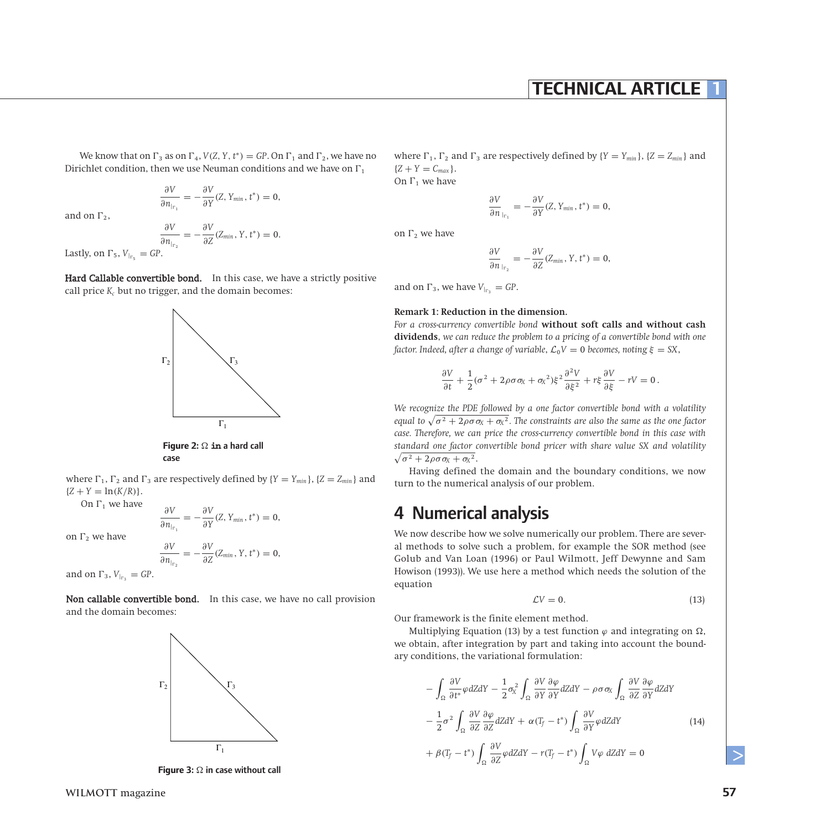## **TECHNICAL ARTICLE 1**

We know that on  $\Gamma_3$  as on  $\Gamma_4$ ,  $V(Z, Y, t^*) = GP$ . On  $\Gamma_1$  and  $\Gamma_2$ , we have no Dirichlet condition, then we use Neuman conditions and we have on  $\Gamma_1$ 

> *∂V ∂n*<sup>|</sup><sup>1</sup>  $=-\frac{\partial V}{\partial Y}(Z, Y_{min}, t^*)=0,$

and on  $\Gamma_2$ ,

$$
\frac{\partial V}{\partial n_{|_{\Gamma_2}}} = -\frac{\partial V}{\partial Z}(Z_{\min}, Y, t^*) = 0.
$$

Lastly, on  $\Gamma_5$ ,  $V_{\vert_{\Gamma_5}} = GP$ .

Hard Callable convertible bond. In this case, we have a strictly positive call price *Kc* but no trigger, and the domain becomes:



**Figure 2:**  $\Omega$  in a hard call case

where  $\Gamma_1$ ,  $\Gamma_2$  and  $\Gamma_3$  are respectively defined by  ${Y = Y_{min}}$ ,  ${Z = Z_{min}}$  and  ${Z + Y = \ln(K/R)}.$ 

On  $\Gamma_1$  we have

$$
\frac{\partial V}{\partial n_{|_{\Gamma_1}}}=-\frac{\partial V}{\partial Y}(Z, Y_{min}, t^*)=0,
$$

on  $\Gamma_2$  we have

$$
\frac{\partial V}{\partial n_{|_{\Gamma_2}}} = -\frac{\partial V}{\partial Z}(Z_{min}, Y, t^*) = 0,
$$

and on  $\Gamma_3$ ,  $V_{\vert_{\Gamma_3}} = GP$ .

Non callable convertible bond. In this case, we have no call provision and the domain becomes:



**Figure 3:**  $\Omega$  in case without call

where  $\Gamma_1$ ,  $\Gamma_2$  and  $\Gamma_3$  are respectively defined by  $\{Y = Y_{min}\}\$ ,  $\{Z = Z_{min}\}$  and  ${Z + Y = C_{max}}$ . On  $\Gamma_1$  we have

$$
\frac{\partial V}{\partial n}\big|_{\vert_{\Gamma_1}} = -\frac{\partial V}{\partial Y}(Z, Y_{\min}, t^*) = 0,
$$

on  $\Gamma_2$  we have

$$
\frac{\partial V}{\partial n}\bigg|_{\Gamma_2} = -\frac{\partial V}{\partial Z}(Z_{min}, Y, t^*) = 0,
$$

and on  $\Gamma_3$ , we have  $V_{\parallel_{\Gamma_3}} = GP$ .

#### **Remark 1: Reduction in the dimension.**

*For a cross-currency convertible bond* **without soft calls and without cash dividends**, *we can reduce the problem to a pricing of a convertible bond with one factor. Indeed, after a change of variable,*  $\mathcal{L}_0V = 0$  *becomes, noting*  $\xi = SX$ ,

$$
\frac{\partial V}{\partial t} + \frac{1}{2} (\sigma^2 + 2\rho\sigma\sigma_X + \sigma_X^2) \xi^2 \frac{\partial^2 V}{\partial \xi^2} + r\xi \frac{\partial V}{\partial \xi} - rV = 0.
$$

*We recognize the PDE followed by a one factor convertible bond with a volatility equal to*  $\sqrt{\sigma^2 + 2\rho \sigma \sigma_{\!X} + \sigma_{\!X}{}^2}$  *. The constraints are also the same as the one factor case. Therefore, we can price the cross-currency convertible bond in this case with standard one factor convertible bond pricer with share value SX and volatility*  $\sqrt{\sigma^2 + 2\rho\sigma\sigma_X + \sigma_X^2}$ .

Having defined the domain and the boundary conditions, we now turn to the numerical analysis of our problem.

## 4 Numerical analysis

We now describe how we solve numerically our problem. There are several methods to solve such a problem, for example the SOR method (see Golub and Van Loan (1996) or Paul Wilmott, Jeff Dewynne and Sam Howison (1993)). We use here a method which needs the solution of the equation

$$
\mathcal{L}V = 0.\tag{13}
$$

Our framework is the finite element method.

Multiplying Equation (13) by a test function  $\varphi$  and integrating on  $\Omega$ , we obtain, after integration by part and taking into account the boundary conditions, the variational formulation:

$$
-\int_{\Omega} \frac{\partial V}{\partial t^*} \varphi dZ dY - \frac{1}{2} \sigma_X^2 \int_{\Omega} \frac{\partial V}{\partial Y} \frac{\partial \varphi}{\partial Y} dZ dY - \rho \sigma \sigma_X \int_{\Omega} \frac{\partial V}{\partial Z} \frac{\partial \varphi}{\partial Y} dZ dY -\frac{1}{2} \sigma^2 \int_{\Omega} \frac{\partial V}{\partial Z} \frac{\partial \varphi}{\partial Z} dZ dY + \alpha (T_f - t^*) \int_{\Omega} \frac{\partial V}{\partial Y} \varphi dZ dY
$$
(14)

$$
+\beta(T_f - t^*)\int_{\Omega}\frac{\partial V}{\partial Z}\varphi dZdY - r(T_f - t^*)\int_{\Omega}V\varphi dZdY = 0
$$

**Wilmott** magazine **57**

 $\geq$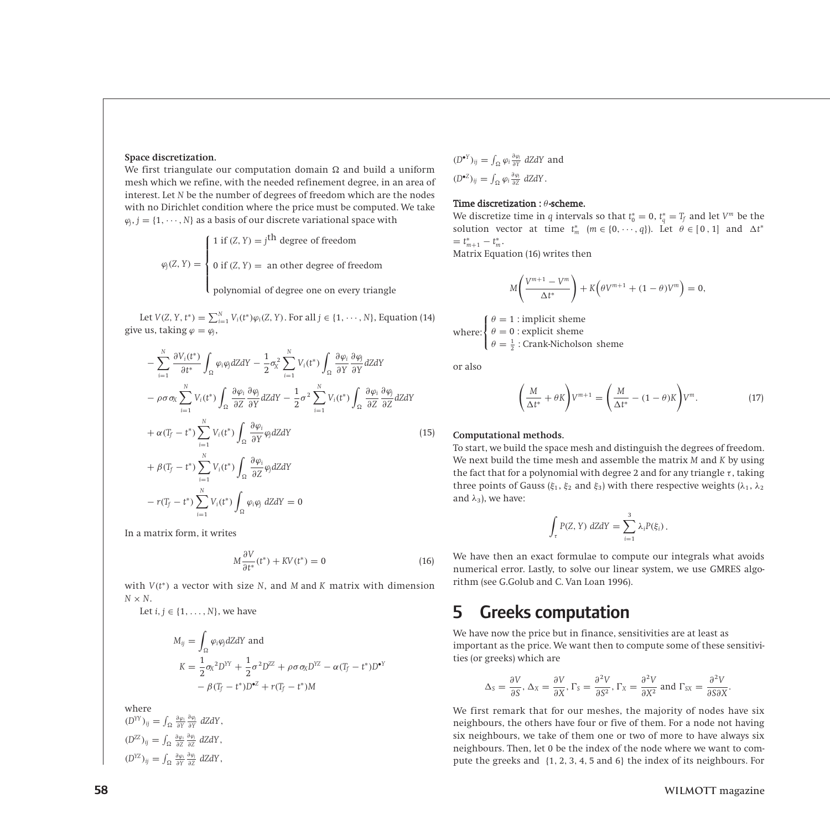#### **Space discretization.**

We first triangulate our computation domain  $\Omega$  and build a uniform mesh which we refine, with the needed refinement degree, in an area of interest. Let *N* be the number of degrees of freedom which are the nodes with no Dirichlet condition where the price must be computed. We take  $\varphi$ <sub>*i*</sub>, *j* = {1, ···, *N*} as a basis of our discrete variational space with

> $\varphi_j(Z, Y) =$  $\sqrt{ }$  $\Big\}$  polynomial of degree one on every triangle 1 if  $(Z, Y) = j$ <sup>th</sup> degree of freedom  $0$  if  $(Z, Y) =$  an other degree of freedom

Let  $V(Z, Y, t^*) = \sum_{i=1}^{N} V_i(t^*) \varphi_i(Z, Y)$ . For all  $j \in \{1, \dots, N\}$ , Equation (14) give us, taking  $\varphi = \varphi_i$ ,

$$
- \sum_{i=1}^{N} \frac{\partial V_{i}(t^{*})}{\partial t^{*}} \int_{\Omega} \varphi_{i} \varphi_{j} dZ dY - \frac{1}{2} \sigma_{X}^{2} \sum_{i=1}^{N} V_{i}(t^{*}) \int_{\Omega} \frac{\partial \varphi_{i}}{\partial Y} \frac{\partial \varphi_{j}}{\partial Y} dZ dY - \rho \sigma \sigma_{X} \sum_{i=1}^{N} V_{i}(t^{*}) \int_{\Omega} \frac{\partial \varphi_{i}}{\partial Z} \frac{\partial \varphi_{j}}{\partial Y} dZ dY - \frac{1}{2} \sigma^{2} \sum_{i=1}^{N} V_{i}(t^{*}) \int_{\Omega} \frac{\partial \varphi_{i}}{\partial Z} \frac{\partial \varphi_{j}}{\partial Z} dZ dY + \alpha (T_{f} - t^{*}) \sum_{i=1}^{N} V_{i}(t^{*}) \int_{\Omega} \frac{\partial \varphi_{i}}{\partial Y} \varphi_{j} dZ dY + \beta (T_{f} - t^{*}) \sum_{i=1}^{N} V_{i}(t^{*}) \int_{\Omega} \frac{\partial \varphi_{i}}{\partial Z} \varphi_{j} dZ dY - r(T_{f} - t^{*}) \sum_{i=1}^{N} V_{i}(t^{*}) \int_{\Omega} \varphi_{i} \varphi_{j} dZ dY = 0
$$

In a matrix form, it writes

$$
M\frac{\partial V}{\partial t^*}(t^*) + KV(t^*) = 0\tag{16}
$$

with *V(t* <sup>∗</sup>*)* a vector with size *N*, and *M* and *K* matrix with dimension  $N \times N$ .

Let  $i, j \in \{1, \ldots, N\}$ , we have

$$
M_{ij} = \int_{\Omega} \varphi_i \varphi_j dZ dY \text{ and}
$$
  
\n
$$
K = \frac{1}{2} \sigma_X^2 D^{YY} + \frac{1}{2} \sigma^2 D^{ZZ} + \rho \sigma \sigma_X D^{YZ} - \alpha (T_f - t^*) D^{\bullet Y}
$$
  
\n
$$
- \beta (T_f - t^*) D^{\bullet Z} + r (T_f - t^*) M
$$

where

 $(D^{YY})_{ij} = \int_{\Omega} \frac{\partial \varphi_i}{\partial Y} \frac{\partial \varphi_j}{\partial Y} dZdY,$  $(D^{ZZ})_{ij} = \int_{\Omega} \frac{\partial \varphi_i}{\partial Z} \frac{\partial \varphi_j}{\partial Z} dZdY,$  $(D^{YZ})_{ij} = \int_{\Omega} \frac{\partial \varphi_i}{\partial Y} \frac{\partial \varphi_j}{\partial Z} dZdY,$ 

$$
(D^{\bullet Y})_{ij} = \int_{\Omega} \varphi_i \frac{\partial \varphi_i}{\partial Y} dZ dY \text{ and}
$$

$$
(D^{\bullet Z})_{ij} = \int_{\Omega} \varphi_i \frac{\partial \varphi_i}{\partial Z} dZ dY.
$$

#### Time discretization : *θ* -scheme.

We discretize time in *q* intervals so that  $t_0^* = 0$ ,  $t_q^* = T_f$  and let  $V^m$  be the solution vector at time  $t_m^*$  ( $m \in \{0, \dots, q\}$ ). Let  $\theta \in [0, 1]$  and  $\Delta t^*$  $= t_{m+1}^* - t_m^*$ .

Matrix Equation (16) writes then

$$
M\left(\frac{V^{m+1}-V^m}{\Delta t^*}\right)+K\left(\theta V^{m+1}+(1-\theta)V^m\right)=0,
$$

where:  $\sqrt{ }$ J  $\mathbf{I}$  $\theta = 1$  : implicit sheme  $\theta = 0$  : explicit sheme  $\theta = \frac{1}{2}$ : Crank-Nicholson sheme

or also

$$
\left(\frac{M}{\Delta t^*} + \theta K\right) V^{m+1} = \left(\frac{M}{\Delta t^*} - (1 - \theta) K\right) V^m.
$$
 (17)

(15) **Computational methods.**

> To start, we build the space mesh and distinguish the degrees of freedom. We next build the time mesh and assemble the matrix *M* and *K* by using the fact that for a polynomial with degree 2 and for any triangle *τ* , taking three points of Gauss ( $\xi_1$ ,  $\xi_2$  and  $\xi_3$ ) with there respective weights ( $\lambda_1$ ,  $\lambda_2$ ) and  $\lambda_3$ ), we have:

$$
\int_{\tau} P(Z, Y) dZdY = \sum_{i=1}^{3} \lambda_i P(\xi_i).
$$

We have then an exact formulae to compute our integrals what avoids numerical error. Lastly, to solve our linear system, we use GMRES algorithm (see G.Golub and C. Van Loan 1996).

## 5 Greeks computation

We have now the price but in finance, sensitivities are at least as important as the price. We want then to compute some of these sensitivities (or greeks) which are

$$
\Delta_S = \frac{\partial V}{\partial S}, \Delta_X = \frac{\partial V}{\partial X}, \Gamma_S = \frac{\partial^2 V}{\partial S^2}, \Gamma_X = \frac{\partial^2 V}{\partial X^2} \text{ and } \Gamma_{SX} = \frac{\partial^2 V}{\partial S \partial X}.
$$

We first remark that for our meshes, the majority of nodes have six neighbours, the others have four or five of them. For a node not having six neighbours, we take of them one or two of more to have always six neighbours. Then, let 0 be the index of the node where we want to compute the greeks and {1*,* 2*,* 3*,* 4*,* 5 and 6} the index of its neighbours. For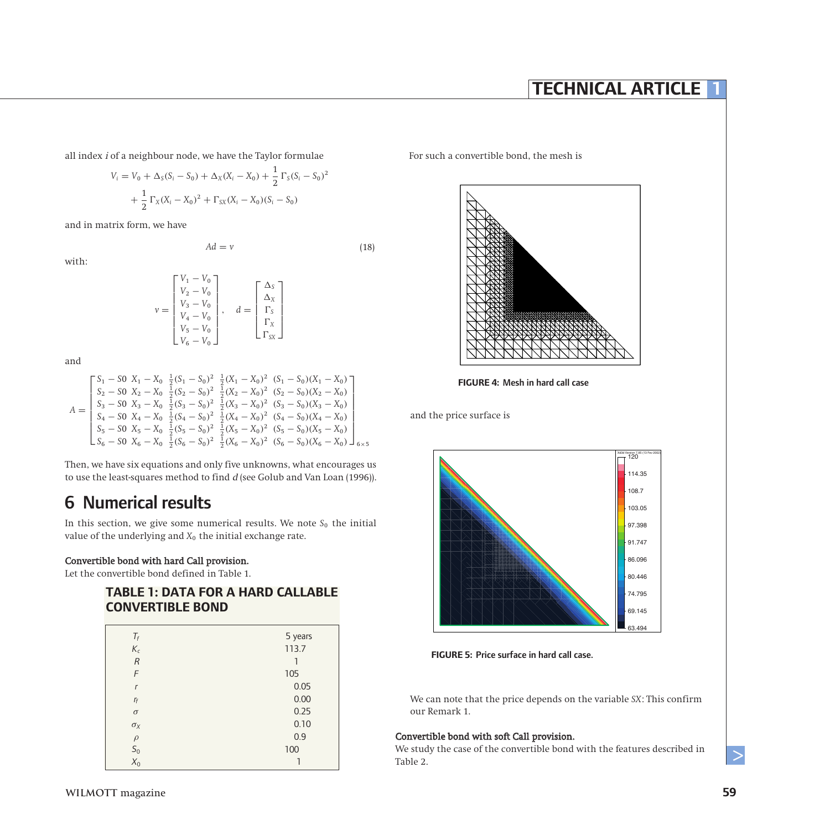## **TECHNICAL ARTICLE 1**

all index i of a neighbour node, we have the Taylor formulae

$$
V_i = V_0 + \Delta_S (S_i - S_0) + \Delta_X (X_i - X_0) + \frac{1}{2} \Gamma_S (S_i - S_0)^2
$$
  
+ 
$$
\frac{1}{2} \Gamma_X (X_i - X_0)^2 + \Gamma_{SX} (X_i - X_0) (S_i - S_0)
$$

and in matrix form, we have

 $\mathbf{v}$ 

with:

$$
Ad = v \tag{18}
$$

$$
v = \begin{bmatrix} V_1 - V_0 \\ V_2 - V_0 \\ V_3 - V_0 \\ V_4 - V_0 \\ V_5 - V_0 \\ V_6 - V_0 \end{bmatrix}, \quad d = \begin{bmatrix} \Delta_S \\ \Delta_X \\ \Gamma_X \\ \Gamma_X \\ \Gamma_X \end{bmatrix}
$$

and

$$
A = \begin{bmatrix} S_1 - S0 & X_1 - X_0 & \frac{1}{2}(S_1 - S_0)^2 & \frac{1}{2}(X_1 - X_0)^2 & (S_1 - S_0)(X_1 - X_0) \\ S_2 - S0 & X_2 - X_0 & \frac{1}{2}(S_2 - S_0)^2 & \frac{1}{2}(X_2 - X_0)^2 & (S_2 - S_0)(X_2 - X_0) \\ S_3 - S0 & X_3 - X_0 & \frac{1}{2}(S_3 - S_0)^2 & \frac{1}{2}(X_3 - X_0)^2 & (S_3 - S_0)(X_3 - X_0) \\ S_4 - S0 & X_4 - X_0 & \frac{1}{2}(S_4 - S_0)^2 & \frac{1}{2}(X_4 - X_0)^2 & (S_4 - S_0)(X_4 - X_0) \\ S_5 - S0 & X_5 - X_0 & \frac{1}{2}(S_5 - S_0)^2 & \frac{1}{2}(X_5 - X_0)^2 & (S_5 - S_0)(X_5 - X_0) \\ S_6 - S0 & X_6 - X_0 & \frac{1}{2}(S_6 - S_0)^2 & \frac{1}{2}(X_6 - X_0)^2 & (S_6 - S_0)(X_6 - X_0) \end{bmatrix}_{6 \times 5}
$$

Then, we have six equations and only five unknowns, what encourages us to use the least-squares method to find  $d$  (see Golub and Van Loan (1996)).

## 6 Numerical results

In this section, we give some numerical results. We note  $S_0$  the initial value of the underlying and  $X_0$  the initial exchange rate.

#### Convertible bond with hard Call provision.

Let the convertible bond defined in Table 1.

#### **TABLE 1: DATA FOR A HARD CALLABLE CONVERTIBLE BOND**

| $T_f$          | 5 years |
|----------------|---------|
| $K_c$          | 113.7   |
| $\overline{R}$ |         |
| F              | 105     |
| $\mathsf{r}$   | 0.05    |
| $r_f$          | 0.00    |
| $\sigma$       | 0.25    |
| $\sigma_X$     | 0.10    |
| $\rho$         | 0.9     |
|                | 100     |
| $S_0$<br>$X_0$ |         |
|                |         |

For such a convertible bond, the mesh is



**FIGURE 4:** Mesh in hard call case

and the price surface is



#### **FIGURE 5:** Price surface in hard call case.

We can note that the price depends on the variable *SX*: This confirm our Remark 1.

#### Convertible bond with soft Call provision.

We study the case of the convertible bond with the features described in Table 2.

 $\geq$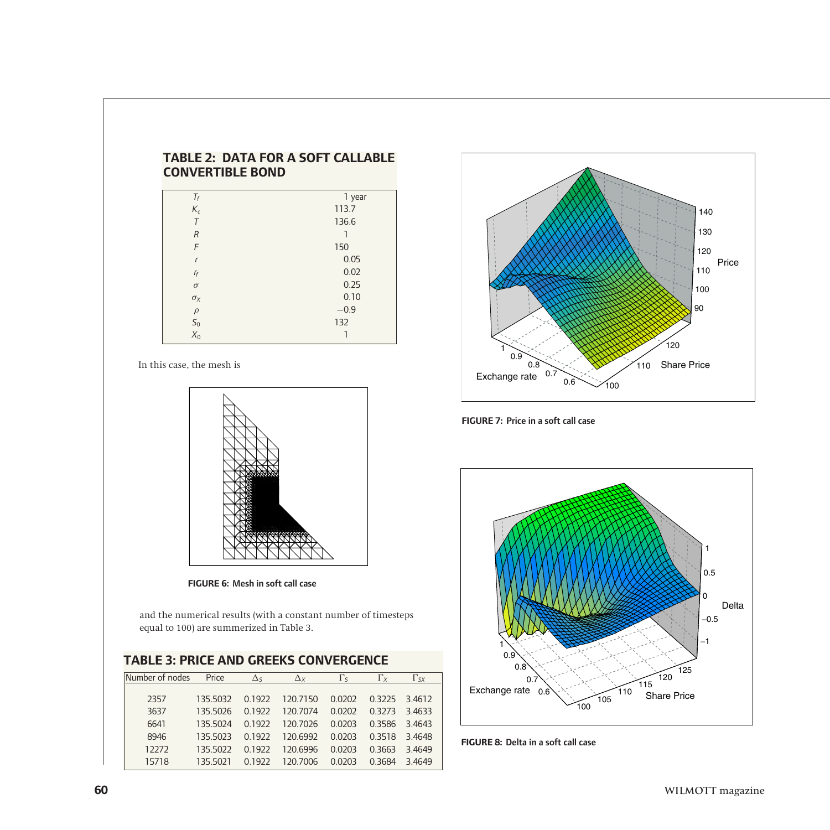### **TABLE 2: DATA FOR A SOFT CALLABLE CONVERTIBLE BOND**

| $T_f$          | 1 year |
|----------------|--------|
| $K_c$          | 113.7  |
| T              | 136.6  |
| R              |        |
| F              | 150    |
| $\mathsf{r}$   | 0.05   |
| $r_f$          | 0.02   |
| $\sigma$       | 0.25   |
| $\sigma_X$     | 0.10   |
| $\rho$         | $-0.9$ |
| $\mathsf{S}_0$ | 132    |
| $X_0$          |        |
|                |        |

In this case, the mesh is



**FIGURE 6:** Mesh in soft call case

and the numerical results (with a constant number of timesteps equal to 100) are summerized in Table 3.

| $\Delta x$<br>120.7150<br>120.7074 | $\Gamma_{\rm S}$<br>0.0202<br>0.0202 | $\Gamma_X$<br>0.3225<br>0.3273 | $\Gamma_{S}$<br>3.4612<br>3.4633 |
|------------------------------------|--------------------------------------|--------------------------------|----------------------------------|
|                                    |                                      |                                |                                  |
|                                    |                                      |                                |                                  |
|                                    |                                      |                                |                                  |
| 120.7026                           | 0.0203                               | 0.3586                         | 3.4643                           |
| 120.6992                           | 0.0203                               | 0.3518                         | 3.4648                           |
| 120.6996                           | 0.0203                               | 0.3663                         | 3.4649                           |
|                                    | 0.0203                               | 0.3684                         | 3.4649                           |
|                                    | 120.7006                             |                                |                                  |



**FIGURE 7:** Price in a soft call case



**FIGURE 8:** Delta in a soft call case